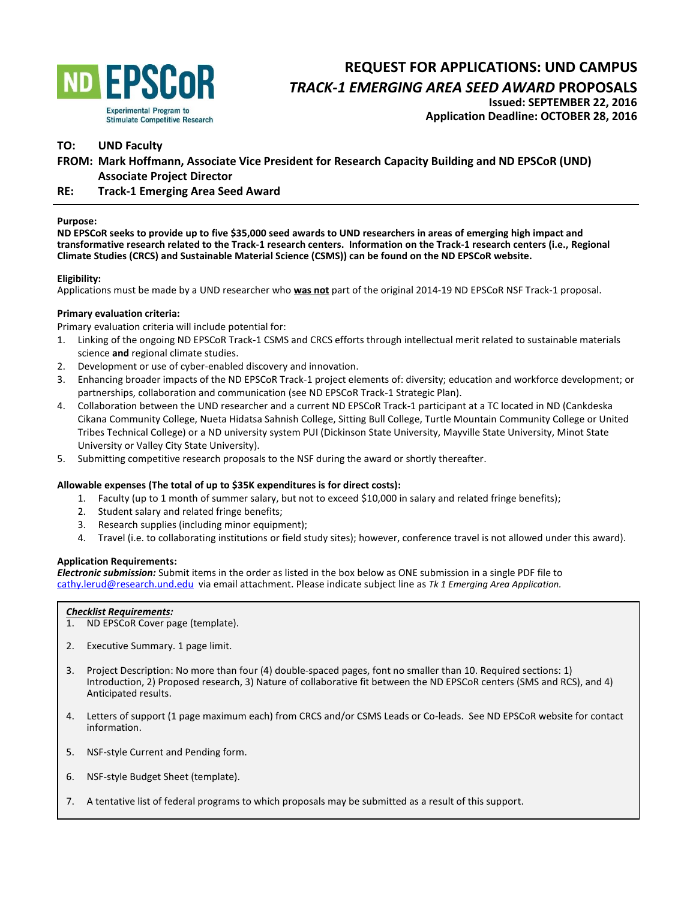

# **REQUEST FOR APPLICATIONS: UND CAMPUS**

*TRACK-1 EMERGING AREA SEED AWARD* **PROPOSALS** 

**Issued: SEPTEMBER 22, 2016 Application Deadline: OCTOBER 28, 2016**

# **TO: UND Faculty**

**FROM: Mark Hoffmann, Associate Vice President for Research Capacity Building and ND EPSCoR (UND) Associate Project Director** 

# **RE: Track-1 Emerging Area Seed Award**

#### **Purpose:**

**ND EPSCoR seeks to provide up to five \$35,000 seed awards to UND researchers in areas of emerging high impact and transformative research related to the Track-1 research centers. Information on the Track-1 research centers (i.e., Regional Climate Studies (CRCS) and Sustainable Material Science (CSMS)) can be found on the ND EPSCoR website.** 

## **Eligibility:**

Applications must be made by a UND researcher who **was not** part of the original 2014-19 ND EPSCoR NSF Track-1 proposal.

## **Primary evaluation criteria:**

Primary evaluation criteria will include potential for:

- 1. Linking of the ongoing ND EPSCoR Track-1 CSMS and CRCS efforts through intellectual merit related to sustainable materials science **and** regional climate studies.
- 2. Development or use of cyber-enabled discovery and innovation.
- 3. Enhancing broader impacts of the ND EPSCoR Track-1 project elements of: diversity; education and workforce development; or partnerships, collaboration and communication (see ND EPSCoR Track-1 Strategic Plan).
- 4. Collaboration between the UND researcher and a current ND EPSCoR Track-1 participant at a TC located in ND (Cankdeska Cikana Community College, Nueta Hidatsa Sahnish College, Sitting Bull College, Turtle Mountain Community College or United Tribes Technical College) or a ND university system PUI (Dickinson State University, Mayville State University, Minot State University or Valley City State University).
- 5. Submitting competitive research proposals to the NSF during the award or shortly thereafter.

## **Allowable expenses (The total of up to \$35K expenditures is for direct costs):**

- 1. Faculty (up to 1 month of summer salary, but not to exceed \$10,000 in salary and related fringe benefits);
- 2. Student salary and related fringe benefits;
- 3. Research supplies (including minor equipment);
- 4. Travel (i.e. to collaborating institutions or field study sites); however, conference travel is not allowed under this award).

#### **Application Requirements:**

*Electronic submission:* Submit items in the order as listed in the box below as ONE submission in a single PDF file to [cathy.lerud@research.und.edu](mailto:cathy.lerud@research.und.edu) via email attachment. Please indicate subject line as *Tk 1 Emerging Area Application.* 

#### *Checklist Requirements:*

- 1. ND EPSCoR Cover page (template).
- 2. Executive Summary. 1 page limit.
- 3. Project Description: No more than four (4) double-spaced pages, font no smaller than 10. Required sections: 1) Introduction, 2) Proposed research, 3) Nature of collaborative fit between the ND EPSCoR centers (SMS and RCS), and 4) Anticipated results.
- 4. Letters of support (1 page maximum each) from CRCS and/or CSMS Leads or Co-leads. See ND EPSCoR website for contact information.
- 5. NSF-style Current and Pending form.
- 6. NSF-style Budget Sheet (template).
- 7. A tentative list of federal programs to which proposals may be submitted as a result of this support.